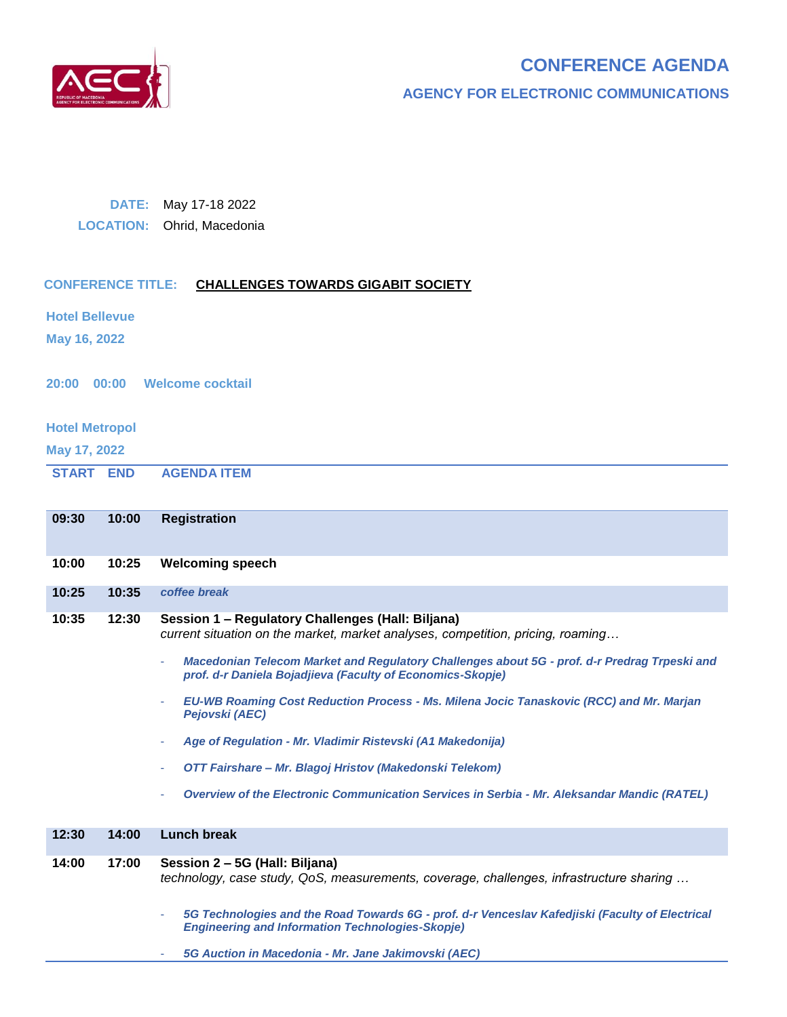

# **CONFERENCE AGENDA**

**AGENCY FOR ELECTRONIC COMMUNICATIONS**

### **DATE:** May 17-18 2022

**LOCATION:** Ohrid, Macedonia

## **CONFERENCE TITLE: CHALLENGES TOWARDS GIGABIT SOCIETY**

**Hotel Bellevue**

**May 16, 2022**

**20:00 00:00 Welcome cocktail**

#### **Hotel Metropol**

**May 17, 2022**

**START END AGENDA ITEM**

| 09:30 | 10:00 | <b>Registration</b>                                                                                                                                                                                                                  |
|-------|-------|--------------------------------------------------------------------------------------------------------------------------------------------------------------------------------------------------------------------------------------|
|       |       |                                                                                                                                                                                                                                      |
| 10:00 | 10:25 | <b>Welcoming speech</b>                                                                                                                                                                                                              |
| 10:25 | 10:35 | coffee break                                                                                                                                                                                                                         |
| 10:35 | 12:30 | Session 1 - Regulatory Challenges (Hall: Biljana)<br>current situation on the market, market analyses, competition, pricing, roaming<br>Macedonian Telecom Market and Regulatory Challenges about 5G - prof. d-r Predrag Trpeski and |
|       |       | prof. d-r Daniela Bojadjieva (Faculty of Economics-Skopje)                                                                                                                                                                           |
|       |       | EU-WB Roaming Cost Reduction Process - Ms. Milena Jocic Tanaskovic (RCC) and Mr. Marjan<br>Pejovski (AEC)                                                                                                                            |
|       |       | Age of Regulation - Mr. Vladimir Ristevski (A1 Makedonija)                                                                                                                                                                           |
|       |       | OTT Fairshare - Mr. Blagoj Hristov (Makedonski Telekom)                                                                                                                                                                              |
|       |       | Overview of the Electronic Communication Services in Serbia - Mr. Aleksandar Mandic (RATEL)                                                                                                                                          |
| 12:30 | 14:00 | Lunch break                                                                                                                                                                                                                          |
| 14:00 | 17:00 | Session 2 - 5G (Hall: Biljana)                                                                                                                                                                                                       |
|       |       | technology, case study, QoS, measurements, coverage, challenges, infrastructure sharing                                                                                                                                              |
|       |       | 5G Technologies and the Road Towards 6G - prof. d-r Venceslav Kafedjiski (Faculty of Electrical<br><b>Engineering and Information Technologies-Skopje)</b>                                                                           |
|       |       | 5G Auction in Macedonia - Mr. Jane Jakimovski (AEC)                                                                                                                                                                                  |